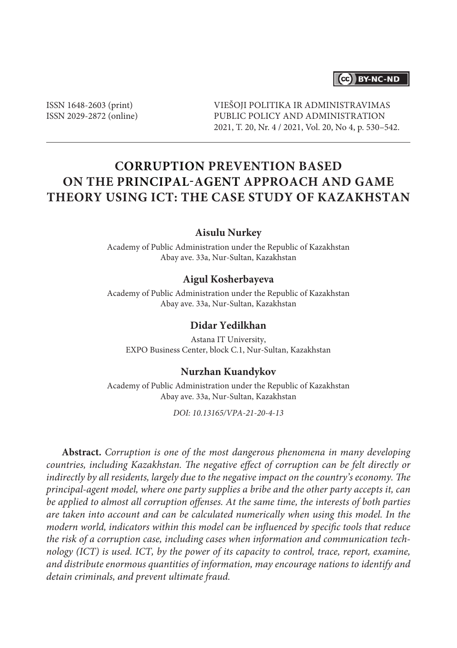### (cc) BY-NC-ND

ISSN 1648-2603 (print) ISSN 2029-2872 (online) VIEŠOJI POLITIKA IR ADMINISTRAVIMAS PUBLIC POLICY AND ADMINISTRATION 2021, T. 20, Nr. 4 / 2021, Vol. 20, No 4, p. 530–542.

# **Corruption Prevention Based on the Principal-Agent Approach and Game Theory Using ICT: The Case Study of Kazakhstan**

### **Aisulu Nurkey**

Academy of Public Administration under the Republic of Kazakhstan Abay ave. 33a, Nur-Sultan, Kazakhstan

### **Aigul Kosherbayeva**

Academy of Public Administration under the Republic of Kazakhstan Abay ave. 33a, Nur-Sultan, Kazakhstan

### **Didar Yedilkhan**

Astana IT University, EXPO Business Center, block C.1, Nur-Sultan, Kazakhstan

#### **Nurzhan Kuandykov**

Academy of Public Administration under the Republic of Kazakhstan Abay ave. 33a, Nur-Sultan, Kazakhstan

*DOI: 10.13165/VPA-21-20-4-13*

**Abstract.** *Corruption is one of the most dangerous phenomena in many developing countries, including Kazakhstan. The negative effect of corruption can be felt directly or indirectly by all residents, largely due to the negative impact on the country's economy. The principal-agent model, where one party supplies a bribe and the other party accepts it, can be applied to almost all corruption offenses. At the same time, the interests of both parties are taken into account and can be calculated numerically when using this model. In the modern world, indicators within this model can be influenced by specific tools that reduce the risk of a corruption case, including cases when information and communication technology (ICT) is used. ICT, by the power of its capacity to control, trace, report, examine, and distribute enormous quantities of information, may encourage nations to identify and detain criminals, and prevent ultimate fraud.*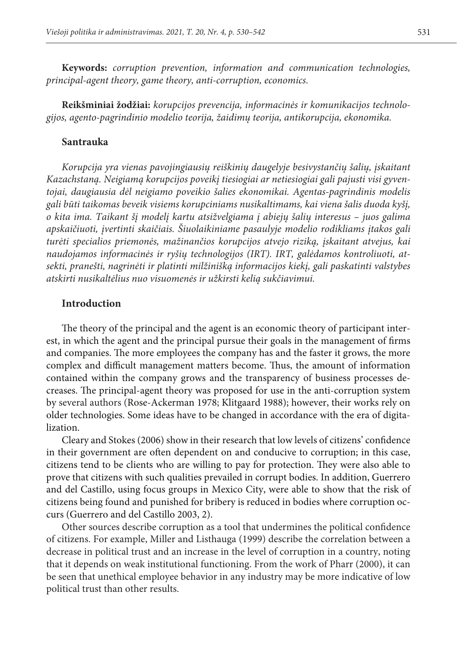**Keywords:** *corruption prevention, information and communication technologies, principal-agent theory, game theory, anti-corruption, economics.*

**Reikšminiai žodžiai:** *korupcijos prevencija, informacinės ir komunikacijos technologijos, agento-pagrindinio modelio teorija, žaidimų teorija, antikorupcija, ekonomika.*

#### **Santrauka**

*Korupcija yra vienas pavojingiausių reiškinių daugelyje besivystančių šalių, įskaitant Kazachstaną. Neigiamą korupcijos poveikį tiesiogiai ar netiesiogiai gali pajusti visi gyventojai, daugiausia dėl neigiamo poveikio šalies ekonomikai. Agentas-pagrindinis modelis gali būti taikomas beveik visiems korupciniams nusikaltimams, kai viena šalis duoda kyšį, o kita ima. Taikant šį modelį kartu atsižvelgiama į abiejų šalių interesus – juos galima apskaičiuoti, įvertinti skaičiais. Šiuolaikiniame pasaulyje modelio rodikliams įtakos gali turėti specialios priemonės, mažinančios korupcijos atvejo riziką, įskaitant atvejus, kai naudojamos informacinės ir ryšių technologijos (IRT). IRT, galėdamos kontroliuoti, atsekti, pranešti, nagrinėti ir platinti milžinišką informacijos kiekį, gali paskatinti valstybes atskirti nusikaltėlius nuo visuomenės ir užkirsti kelią sukčiavimui.*

#### **Introduction**

The theory of the principal and the agent is an economic theory of participant interest, in which the agent and the principal pursue their goals in the management of firms and companies. The more employees the company has and the faster it grows, the more complex and difficult management matters become. Thus, the amount of information contained within the company grows and the transparency of business processes decreases. The principal-agent theory was proposed for use in the anti-corruption system by several authors (Rose-Ackerman 1978; Klitgaard 1988); however, their works rely on older technologies. Some ideas have to be changed in accordance with the era of digitalization.

Cleary and Stokes (2006) show in their research that low levels of citizens' confidence in their government are often dependent on and conducive to corruption; in this case, citizens tend to be clients who are willing to pay for protection. They were also able to prove that citizens with such qualities prevailed in corrupt bodies. In addition, Guerrero and del Castillo, using focus groups in Mexico City, were able to show that the risk of citizens being found and punished for bribery is reduced in bodies where corruption occurs (Guerrero and del Castillo 2003, 2).

Other sources describe corruption as a tool that undermines the political confidence of citizens. For example, Miller and Listhauga (1999) describe the correlation between a decrease in political trust and an increase in the level of corruption in a country, noting that it depends on weak institutional functioning. From the work of Pharr (2000), it can be seen that unethical employee behavior in any industry may be more indicative of low political trust than other results.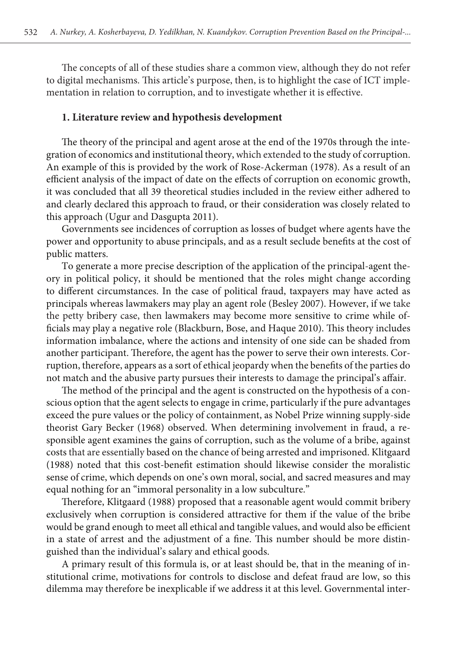The concepts of all of these studies share a common view, although they do not refer to digital mechanisms. This article's purpose, then, is to highlight the case of ICT implementation in relation to corruption, and to investigate whether it is effective.

#### **1. Literature review and hypothesis development**

The theory of the principal and agent arose at the end of the 1970s through the integration of economics and institutional theory, which extended to the study of corruption. An example of this is provided by the work of Rose-Ackerman (1978). As a result of an efficient analysis of the impact of date on the effects of corruption on economic growth, it was concluded that all 39 theoretical studies included in the review either adhered to and clearly declared this approach to fraud, or their consideration was closely related to this approach (Ugur and Dasgupta 2011).

Governments see incidences of corruption as losses of budget where agents have the power and opportunity to abuse principals, and as a result seclude benefits at the cost of public matters.

To generate a more precise description of the application of the principal-agent theory in political policy, it should be mentioned that the roles might change according to different circumstances. In the case of political fraud, taxpayers may have acted as principals whereas lawmakers may play an agent role (Besley 2007). However, if we take the petty bribery case, then lawmakers may become more sensitive to crime while officials may play a negative role (Blackburn, Bose, and Haque 2010). This theory includes information imbalance, where the actions and intensity of one side can be shaded from another participant. Therefore, the agent has the power to serve their own interests. Corruption, therefore, appears as a sort of ethical jeopardy when the benefits of the parties do not match and the abusive party pursues their interests to damage the principal's affair.

The method of the principal and the agent is constructed on the hypothesis of a conscious option that the agent selects to engage in crime, particularly if the pure advantages exceed the pure values or the policy of containment, as Nobel Prize winning supply-side theorist Gary Becker (1968) observed. When determining involvement in fraud, a responsible agent examines the gains of corruption, such as the volume of a bribe, against costs that are essentially based on the chance of being arrested and imprisoned. Klitgaard (1988) noted that this cost-benefit estimation should likewise consider the moralistic sense of crime, which depends on one's own moral, social, and sacred measures and may equal nothing for an "immoral personality in a low subculture."

Therefore, Klitgaard (1988) proposed that a reasonable agent would commit bribery exclusively when corruption is considered attractive for them if the value of the bribe would be grand enough to meet all ethical and tangible values, and would also be efficient in a state of arrest and the adjustment of a fine. This number should be more distinguished than the individual's salary and ethical goods.

A primary result of this formula is, or at least should be, that in the meaning of institutional crime, motivations for controls to disclose and defeat fraud are low, so this dilemma may therefore be inexplicable if we address it at this level. Governmental inter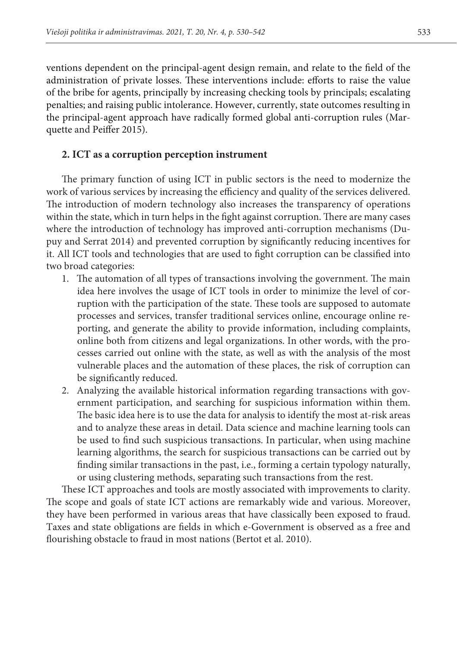ventions dependent on the principal-agent design remain, and relate to the field of the administration of private losses. These interventions include: efforts to raise the value of the bribe for agents, principally by increasing checking tools by principals; escalating penalties; and raising public intolerance. However, currently, state outcomes resulting in the principal-agent approach have radically formed global anti-corruption rules (Marquette and Peiffer 2015).

### **2. ICT as a corruption perception instrument**

The primary function of using ICT in public sectors is the need to modernize the work of various services by increasing the efficiency and quality of the services delivered. The introduction of modern technology also increases the transparency of operations within the state, which in turn helps in the fight against corruption. There are many cases where the introduction of technology has improved anti-corruption mechanisms (Dupuy and Serrat 2014) and prevented corruption by significantly reducing incentives for it. All ICT tools and technologies that are used to fight corruption can be classified into two broad categories:

- 1. The automation of all types of transactions involving the government. The main idea here involves the usage of ICT tools in order to minimize the level of corruption with the participation of the state. These tools are supposed to automate processes and services, transfer traditional services online, encourage online reporting, and generate the ability to provide information, including complaints, online both from citizens and legal organizations. In other words, with the processes carried out online with the state, as well as with the analysis of the most vulnerable places and the automation of these places, the risk of corruption can be significantly reduced.
- 2. Analyzing the available historical information regarding transactions with government participation, and searching for suspicious information within them. The basic idea here is to use the data for analysis to identify the most at-risk areas and to analyze these areas in detail. Data science and machine learning tools can be used to find such suspicious transactions. In particular, when using machine learning algorithms, the search for suspicious transactions can be carried out by finding similar transactions in the past, i.e., forming a certain typology naturally, or using clustering methods, separating such transactions from the rest.

These ICT approaches and tools are mostly associated with improvements to clarity. The scope and goals of state ICT actions are remarkably wide and various. Moreover, they have been performed in various areas that have classically been exposed to fraud. Taxes and state obligations are fields in which e-Government is observed as a free and flourishing obstacle to fraud in most nations (Bertot et al. 2010).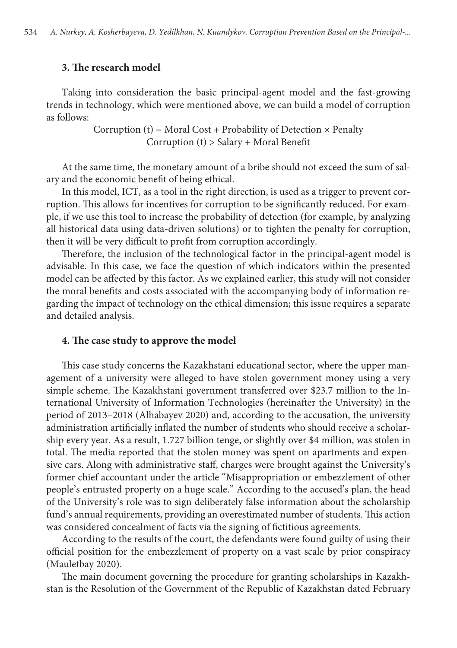#### **3. The research model**

Taking into consideration the basic principal-agent model and the fast-growing trends in technology, which were mentioned above, we can build a model of corruption as follows:

> Corruption (t) = Moral Cost + Probability of Detection  $\times$  Penalty Corruption (t) > Salary + Moral Benefit

At the same time, the monetary amount of a bribe should not exceed the sum of salary and the economic benefit of being ethical.

In this model, ICT, as a tool in the right direction, is used as a trigger to prevent corruption. This allows for incentives for corruption to be significantly reduced. For example, if we use this tool to increase the probability of detection (for example, by analyzing all historical data using data-driven solutions) or to tighten the penalty for corruption, then it will be very difficult to profit from corruption accordingly.

Therefore, the inclusion of the technological factor in the principal-agent model is advisable. In this case, we face the question of which indicators within the presented model can be affected by this factor. As we explained earlier, this study will not consider the moral benefits and costs associated with the accompanying body of information regarding the impact of technology on the ethical dimension; this issue requires a separate and detailed analysis.

### **4. The case study to approve the model**

This case study concerns the Kazakhstani educational sector, where the upper management of a university were alleged to have stolen government money using a very simple scheme. The Kazakhstani government transferred over \$23.7 million to the International University of Information Technologies (hereinafter the University) in the period of 2013–2018 (Alhabayev 2020) and, according to the accusation, the university administration artificially inflated the number of students who should receive a scholarship every year. As a result, 1.727 billion tenge, or slightly over \$4 million, was stolen in total. The media reported that the stolen money was spent on apartments and expensive cars. Along with administrative staff, charges were brought against the University's former chief accountant under the article "Misappropriation or embezzlement of other people's entrusted property on a huge scale." According to the accused's plan, the head of the University's role was to sign deliberately false information about the scholarship fund's annual requirements, providing an overestimated number of students. This action was considered concealment of facts via the signing of fictitious agreements.

According to the results of the court, the defendants were found guilty of using their official position for the embezzlement of property on a vast scale by prior conspiracy (Mauletbay 2020).

The main document governing the procedure for granting scholarships in Kazakhstan is the Resolution of the Government of the Republic of Kazakhstan dated February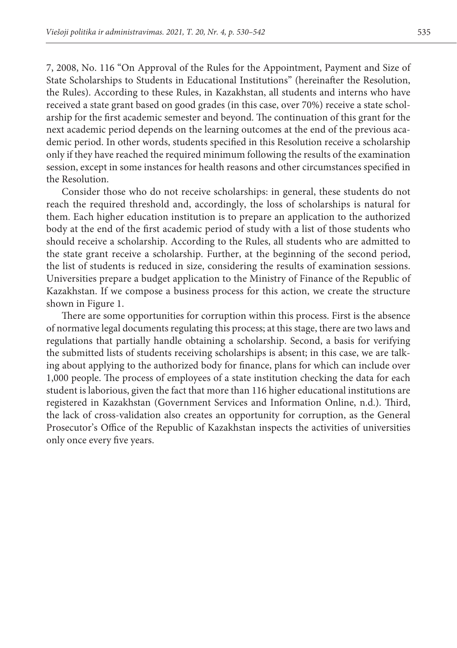7, 2008, No. 116 "On Approval of the Rules for the Appointment, Payment and Size of State Scholarships to Students in Educational Institutions" (hereinafter the Resolution, the Rules). According to these Rules, in Kazakhstan, all students and interns who have received a state grant based on good grades (in this case, over 70%) receive a state scholarship for the first academic semester and beyond. The continuation of this grant for the next academic period depends on the learning outcomes at the end of the previous academic period. In other words, students specified in this Resolution receive a scholarship only if they have reached the required minimum following the results of the examination session, except in some instances for health reasons and other circumstances specified in the Resolution.

Consider those who do not receive scholarships: in general, these students do not reach the required threshold and, accordingly, the loss of scholarships is natural for them. Each higher education institution is to prepare an application to the authorized body at the end of the first academic period of study with a list of those students who should receive a scholarship. According to the Rules, all students who are admitted to the state grant receive a scholarship. Further, at the beginning of the second period, the list of students is reduced in size, considering the results of examination sessions. Universities prepare a budget application to the Ministry of Finance of the Republic of Kazakhstan. If we compose a business process for this action, we create the structure shown in Figure 1.

There are some opportunities for corruption within this process. First is the absence of normative legal documents regulating this process; at this stage, there are two laws and regulations that partially handle obtaining a scholarship. Second, a basis for verifying the submitted lists of students receiving scholarships is absent; in this case, we are talking about applying to the authorized body for finance, plans for which can include over 1,000 people. The process of employees of a state institution checking the data for each student is laborious, given the fact that more than 116 higher educational institutions are registered in Kazakhstan (Government Services and Information Online, n.d.). Third, the lack of cross-validation also creates an opportunity for corruption, as the General Prosecutor's Office of the Republic of Kazakhstan inspects the activities of universities only once every five years.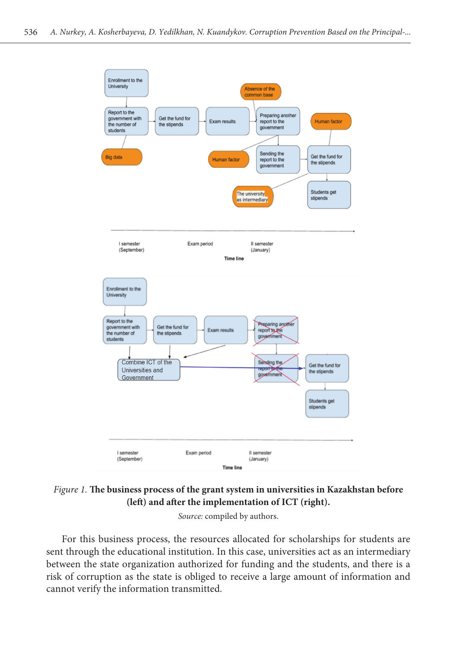

Figure 1. The business process of the grant system in universities in Kazakhstan before **(left) and after the implementation of ICT (right).**

Source: compiled by authors. and a series the international source: containing the international solution of  $S$ 

For this business process, the resources allocated for scholarships for students are between the state organization authorized for funding and the students, and there is a  $\sum_{\text{cannot}}$  verify the information transmitted. sent through the educational institution. In this case, universities act as an intermediary<br>hattusen the state examination outhorized for funding and the students and there is a risk of corruption as the state is obliged to receive a large amount of information and **Formatuota:** Šriftas: 10 pt., Kursyvas **Formatuota:** Centre, Įtrauka: Pirmoji eilutė: 0 cm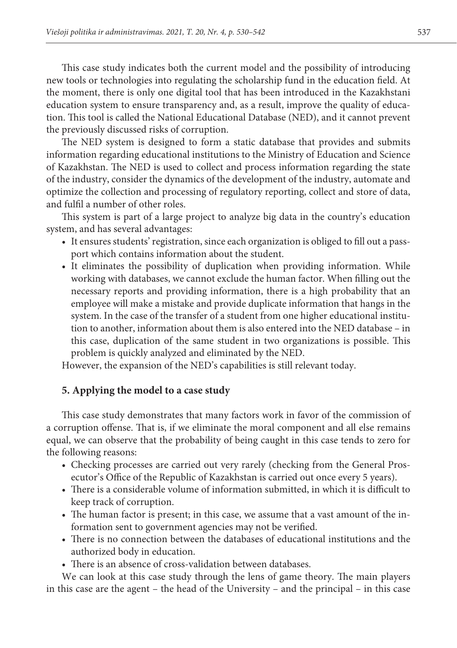This case study indicates both the current model and the possibility of introducing new tools or technologies into regulating the scholarship fund in the education field. At the moment, there is only one digital tool that has been introduced in the Kazakhstani education system to ensure transparency and, as a result, improve the quality of education. This tool is called the National Educational Database (NED), and it cannot prevent the previously discussed risks of corruption.

The NED system is designed to form a static database that provides and submits information regarding educational institutions to the Ministry of Education and Science of Kazakhstan. The NED is used to collect and process information regarding the state of the industry, consider the dynamics of the development of the industry, automate and optimize the collection and processing of regulatory reporting, collect and store of data, and fulfil a number of other roles.

This system is part of a large project to analyze big data in the country's education system, and has several advantages:

- It ensures students' registration, since each organization is obliged to fill out a passport which contains information about the student.
- It eliminates the possibility of duplication when providing information. While working with databases, we cannot exclude the human factor. When filling out the necessary reports and providing information, there is a high probability that an employee will make a mistake and provide duplicate information that hangs in the system. In the case of the transfer of a student from one higher educational institution to another, information about them is also entered into the NED database – in this case, duplication of the same student in two organizations is possible. This problem is quickly analyzed and eliminated by the NED.

However, the expansion of the NED's capabilities is still relevant today.

### **5. Applying the model to a case study**

This case study demonstrates that many factors work in favor of the commission of a corruption offense. That is, if we eliminate the moral component and all else remains equal, we can observe that the probability of being caught in this case tends to zero for the following reasons:

- Checking processes are carried out very rarely (checking from the General Prosecutor's Office of the Republic of Kazakhstan is carried out once every 5 years).
- There is a considerable volume of information submitted, in which it is difficult to keep track of corruption.
- The human factor is present; in this case, we assume that a vast amount of the information sent to government agencies may not be verified.
- There is no connection between the databases of educational institutions and the authorized body in education.
- There is an absence of cross-validation between databases.

We can look at this case study through the lens of game theory. The main players in this case are the agent – the head of the University – and the principal – in this case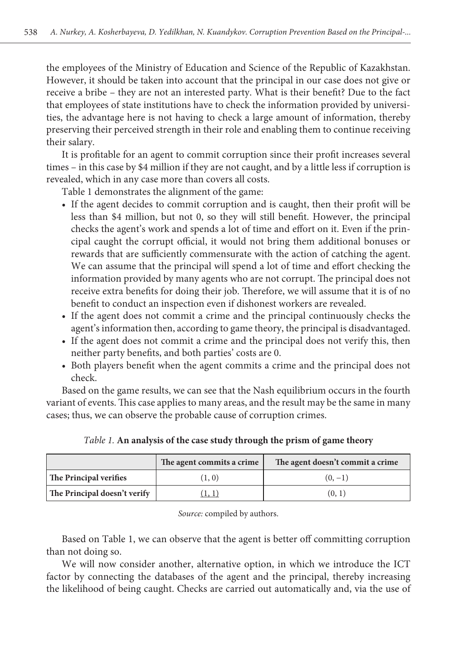the employees of the Ministry of Education and Science of the Republic of Kazakhstan. However, it should be taken into account that the principal in our case does not give or receive a bribe – they are not an interested party. What is their benefit? Due to the fact that employees of state institutions have to check the information provided by universities, the advantage here is not having to check a large amount of information, thereby preserving their perceived strength in their role and enabling them to continue receiving their salary.

It is profitable for an agent to commit corruption since their profit increases several times – in this case by \$4 million if they are not caught, and by a little less if corruption is revealed, which in any case more than covers all costs.

Table 1 demonstrates the alignment of the game:

- If the agent decides to commit corruption and is caught, then their profit will be less than \$4 million, but not 0, so they will still benefit. However, the principal checks the agent's work and spends a lot of time and effort on it. Even if the principal caught the corrupt official, it would not bring them additional bonuses or rewards that are sufficiently commensurate with the action of catching the agent. We can assume that the principal will spend a lot of time and effort checking the information provided by many agents who are not corrupt. The principal does not receive extra benefits for doing their job. Therefore, we will assume that it is of no benefit to conduct an inspection even if dishonest workers are revealed.
- If the agent does not commit a crime and the principal continuously checks the agent's information then, according to game theory, the principal is disadvantaged.
- If the agent does not commit a crime and the principal does not verify this, then neither party benefits, and both parties' costs are 0.
- Both players benefit when the agent commits a crime and the principal does not check.

Based on the game results, we can see that the Nash equilibrium occurs in the fourth variant of events. This case applies to many areas, and the result may be the same in many cases; thus, we can observe the probable cause of corruption crimes.

|                              | The agent commits a crime | The agent doesn't commit a crime |
|------------------------------|---------------------------|----------------------------------|
| The Principal verifies       | (1, 0)                    | $(0, -1)$                        |
| The Principal doesn't verify |                           | (0, 1)                           |

*Table 1.* **An analysis of the case study through the prism of game theory**

*Source:* compiled by authors.

Based on Table 1, we can observe that the agent is better off committing corruption than not doing so.

We will now consider another, alternative option, in which we introduce the ICT factor by connecting the databases of the agent and the principal, thereby increasing the likelihood of being caught. Checks are carried out automatically and, via the use of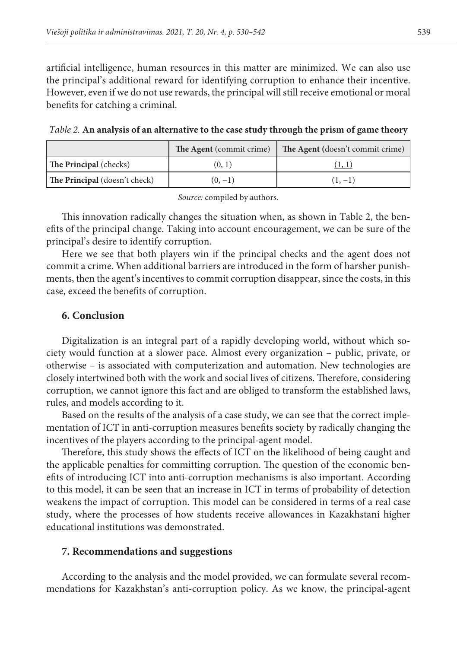artificial intelligence, human resources in this matter are minimized. We can also use the principal's additional reward for identifying corruption to enhance their incentive. However, even if we do not use rewards, the principal will still receive emotional or moral benefits for catching a criminal.

|                               | The Agent (commit crime) | The Agent (doesn't commit crime) |
|-------------------------------|--------------------------|----------------------------------|
| <b>The Principal</b> (checks) | (0, 1)                   | (1, 1)                           |
| The Principal (doesn't check) | $(0, -1)$                | $(1, -1)$                        |

*Table 2.* **An analysis of an alternative to the case study through the prism of game theory**

*Source:* compiled by authors.

This innovation radically changes the situation when, as shown in Table 2, the benefits of the principal change. Taking into account encouragement, we can be sure of the principal's desire to identify corruption.

Here we see that both players win if the principal checks and the agent does not commit a crime. When additional barriers are introduced in the form of harsher punishments, then the agent's incentives to commit corruption disappear, since the costs, in this case, exceed the benefits of corruption.

### **6. Conclusion**

Digitalization is an integral part of a rapidly developing world, without which society would function at a slower pace. Almost every organization – public, private, or otherwise – is associated with computerization and automation. New technologies are closely intertwined both with the work and social lives of citizens. Therefore, considering corruption, we cannot ignore this fact and are obliged to transform the established laws, rules, and models according to it.

Based on the results of the analysis of a case study, we can see that the correct implementation of ICT in anti-corruption measures benefits society by radically changing the incentives of the players according to the principal-agent model.

Therefore, this study shows the effects of ICT on the likelihood of being caught and the applicable penalties for committing corruption. The question of the economic benefits of introducing ICT into anti-corruption mechanisms is also important. According to this model, it can be seen that an increase in ICT in terms of probability of detection weakens the impact of corruption. This model can be considered in terms of a real case study, where the processes of how students receive allowances in Kazakhstani higher educational institutions was demonstrated.

### **7. Recommendations and suggestions**

According to the analysis and the model provided, we can formulate several recommendations for Kazakhstan's anti-corruption policy. As we know, the principal-agent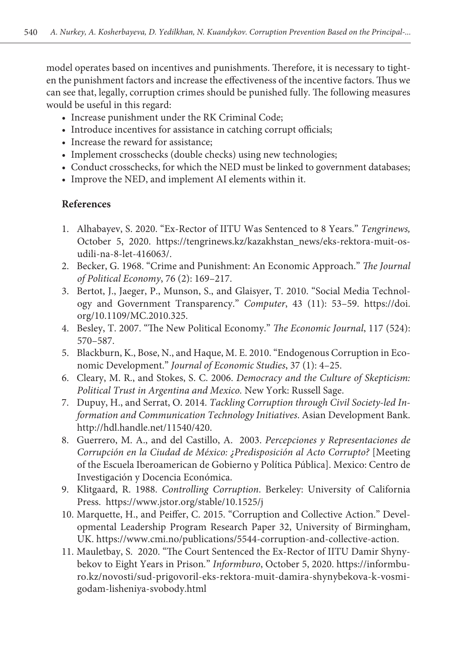model operates based on incentives and punishments. Therefore, it is necessary to tighten the punishment factors and increase the effectiveness of the incentive factors. Thus we can see that, legally, corruption crimes should be punished fully. The following measures would be useful in this regard:

- Increase punishment under the RK Criminal Code;
- Introduce incentives for assistance in catching corrupt officials;
- Increase the reward for assistance;
- Implement crosschecks (double checks) using new technologies;
- Conduct crosschecks, for which the NED must be linked to government databases;
- Improve the NED, and implement AI elements within it.

### **References**

- 1. Alhabayev, S. 2020. "Ex-Rector of IITU Was Sentenced to 8 Years." *Tengrinews,* October 5, 2020. [https://tengrinews.kz/kazakhstan\\_news/eks-rektora-muit-os](https://tengrinews.kz/kazakhstan_news/eks-rektora-muit-osudili-na-8-let-416063/)[udili-na-8-let-416063/.](https://tengrinews.kz/kazakhstan_news/eks-rektora-muit-osudili-na-8-let-416063/)
- 2. Becker, G. 1968. "Crime and Punishment: An Economic Approach." *The Journal of Political Economy*, 76 (2): 169–217.
- 3. Bertot, J., Jaeger, P., Munson, S., and Glaisyer, T. 2010. "Social Media Technology and Government Transparency." *Computer*, 43 (11): 53–59. https://doi. org/10.1109/MC.2010.325.
- 4. Besley, T. 2007. "The New Political Economy." *The Economic Journal*, 117 (524): 570–587.
- 5. Blackburn, K., Bose, N., and Haque, M. E. 2010. "Endogenous Corruption in Economic Development." *Journal of Economic Studies*, 37 (1): 4–25.
- 6. Cleary, M. R., and Stokes, S. C. 2006. *Democracy and the Culture of Skepticism: Political Trust in Argentina and Mexico.* New York: Russell Sage.
- 7. Dupuy, H., and Serrat, O. 2014. *Tackling Corruption through Civil Society-led Information and Communication Technology Initiatives*. Asian Development Bank. http://hdl.handle.net/11540/420.
- 8. Guerrero, M. A., and del Castillo, A. 2003. *Percepciones y Representaciones de Corrupción en la Ciudad de México: ¿Predisposición al Acto Corrupto?* [Meeting of the Escuela Iberoamerican de Gobierno y Política Pública]. Mexico: Centro de Investigación y Docencia Económica.
- 9. Klitgaard, R. 1988. *Controlling Corruption*. Berkeley: University of California Press. https://www.jstor.org/stable/10.1525/j
- 10. Marquette, H., and Peiffer, C. 2015. "Corruption and Collective Action." Developmental Leadership Program Research Paper 32, University of Birmingham, UK. https://www.cmi.no/publications/5544-corruption-and-collective-action.
- 11. Mauletbay, S. 2020. "The Court Sentenced the Ex-Rector of IITU Damir Shynybekov to Eight Years in Prison*.*" *Informburo*, October 5, 2020. [https://informbu](https://informburo.kz/novosti/sud-prigovoril-eks-rektora-muit-damira-shynybekova-k-vosmi-godam-lisheniya-svobody.html)[ro.kz/novosti/sud-prigovoril-eks-rektora-muit-damira-shynybekova-k-vosmi](https://informburo.kz/novosti/sud-prigovoril-eks-rektora-muit-damira-shynybekova-k-vosmi-godam-lisheniya-svobody.html)[godam-lisheniya-svobody.html](https://informburo.kz/novosti/sud-prigovoril-eks-rektora-muit-damira-shynybekova-k-vosmi-godam-lisheniya-svobody.html)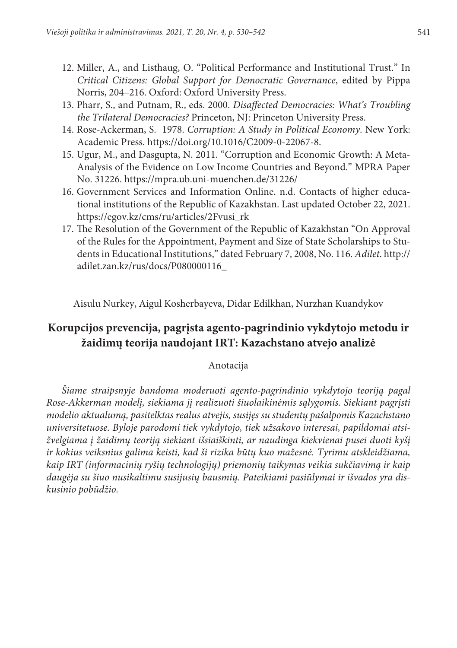- 12. Miller, A., and Listhaug, O. "Political Performance and Institutional Trust." In *Critical Citizens: Global Support for Democratic Governance*, edited by Pippa Norris, 204–216. Oxford: Oxford University Press.
- 13. Pharr, S., and Putnam, R., eds. 2000. *Disaffected Democracies: What's Troubling the Trilateral Democracies?* Princeton, NJ: Princeton University Press.
- 14. Rose-Ackerman, S. 1978. *Corruption: A Study in Political Economy*. New York: Academic Press. [https://doi.org/10.1016/C2009-0-22067-8.](https://doi.org/10.1016/C2009-0-22067-8)
- 15. Ugur, M., and Dasgupta, N. 2011. "Corruption and Economic Growth: A Meta-Analysis of the Evidence on Low Income Countries and Beyond." MPRA Paper No. 31226. https://mpra.ub.uni-muenchen.de/31226/
- 16. Government Services and Information Online. n.d. Contacts of higher educational institutions of the Republic of Kazakhstan. Last updated October 22, 2021. https://egov.kz/cms/ru/articles/2Fvusi\_rk
- 17. The Resolution of the Government of the Republic of Kazakhstan "On Approval of the Rules for the Appointment, Payment and Size of State Scholarships to Students in Educational Institutions," dated February 7, 2008, No. 116. *Adilet*. [http://](http://adilet.zan.kz/rus/docs/P080000116_) [adilet.zan.kz/rus/docs/P080000116\\_](http://adilet.zan.kz/rus/docs/P080000116_)

Aisulu Nurkey, Aigul Kosherbayeva, Didar Edilkhan, Nurzhan Kuandykov

## **Korupcijos prevencija, pagrįsta agento-pagrindinio vykdytojo metodu ir žaidimų teorija naudojant IRT: Kazachstano atvejo analizė**

### Anotacija

*Šiame straipsnyje bandoma moderuoti agento-pagrindinio vykdytojo teoriją pagal Rose-Akkerman modelį, siekiama jį realizuoti šiuolaikinėmis sąlygomis. Siekiant pagrįsti modelio aktualumą, pasitelktas realus atvejis, susijęs su studentų pašalpomis Kazachstano universitetuose. Byloje parodomi tiek vykdytojo, tiek užsakovo interesai, papildomai atsižvelgiama į žaidimų teoriją siekiant išsiaiškinti, ar naudinga kiekvienai pusei duoti kyšį ir kokius veiksnius galima keisti, kad ši rizika būtų kuo mažesnė. Tyrimu atskleidžiama, kaip IRT (informacinių ryšių technologijų) priemonių taikymas veikia sukčiavimą ir kaip daugėja su šiuo nusikaltimu susijusių bausmių. Pateikiami pasiūlymai ir išvados yra diskusinio pobūdžio.*